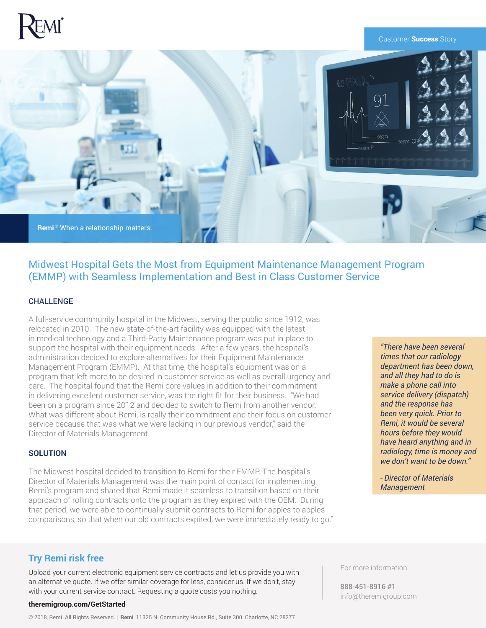# ®

#### Customer **Success** Story



# Midwest Hospital Gets the Most from Equipment Maintenance Management Program (EMMP) with Seamless Implementation and Best in Class Customer Service

## CHALLENGE

A full-service community hospital in the Midwest, serving the public since 1912, was relocated in 2010. The new state-of-the-art facility was equipped with the latest in medical technology and a Third-Party Maintenance program was put in place to support the hospital with their equipment needs. After a few years, the hospital's administration decided to explore alternatives for their Equipment Maintenance Management Program (EMMP). At that time, the hospital's equipment was on a program that left more to be desired in customer service as well as overall urgency and care. The hospital found that the Remi core values in addition to their commitment in delivering excellent customer service, was the right fit for their business. "We had been on a program since 2012 and decided to switch to Remi from another vendor. What was different about Remi, is really their commitment and their focus on customer service because that was what we were lacking in our previous vendor," said the Director of Materials Management.

## **SOLUTION**

The Midwest hospital decided to transition to Remi for their EMMP. The hospital's Director of Materials Management was the main point of contact for implementing Remi's program and shared that Remi made it seamless to transition based on their approach of rolling contracts onto the program as they expired with the OEM. During that period, we were able to continually submit contracts to Remi for apples to apples comparisons, so that when our old contracts expired, we were immediately ready to go."

*"There have been several times that our radiology department has been down, and all they had to do is make a phone call into service delivery (dispatch) and the response has been very quick. Prior to Remi, it would be several hours before they would have heard anything and in radiology, time is money and we don't want to be down."*

*- Director of Materials Management*

## **Try Remi risk free**

Upload your current electronic equipment service contracts and let us provide you with an alternative quote. If we offer similar coverage for less, consider us. If we don't, stay with your current service contract. Requesting a quote costs you nothing.

#### **theremigroup.com/GetStarted**

© 2018, Remi. All Rights Reserved. | Remi 11325 N. Community House Rd., Suite 300. Charlotte, NC 28277

For more information:

888-451-8916 #1 info@theremigroup.com